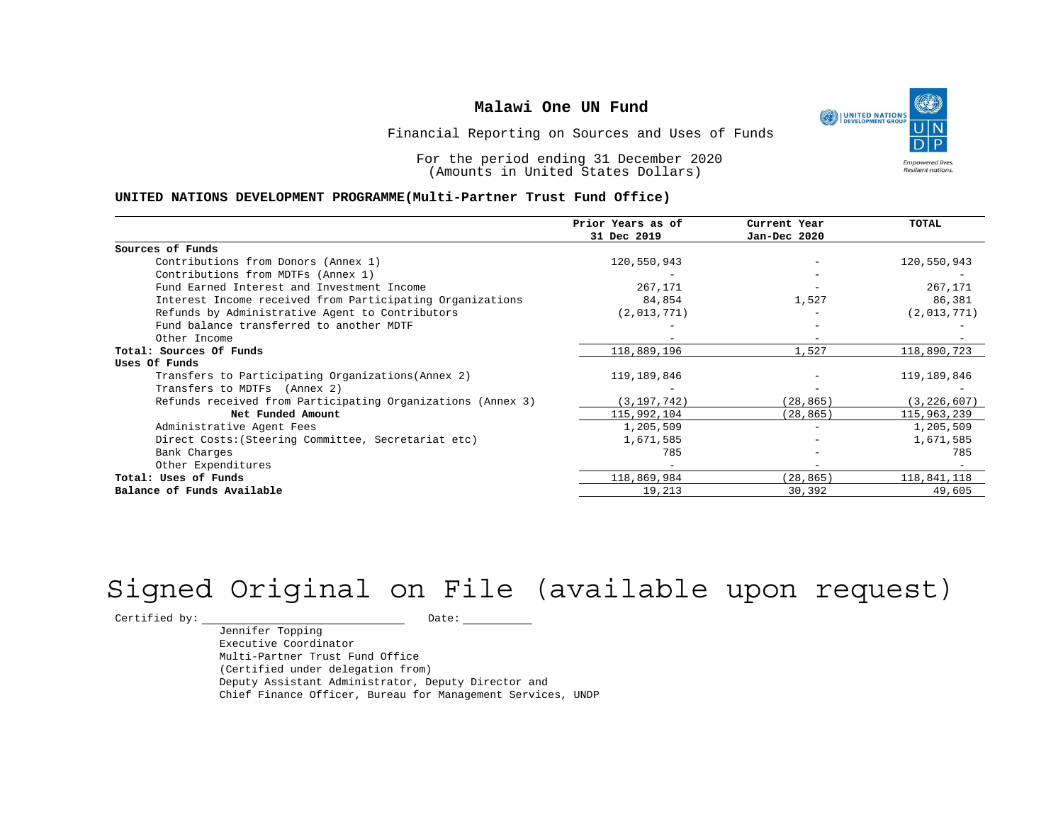

Financial Reporting on Sources and Uses of Funds

For the period ending 31 December 2020 (Amounts in United States Dollars)

#### **UNITED NATIONS DEVELOPMENT PROGRAMME(Multi-Partner Trust Fund Office)**

|                                                             | Prior Years as of | Current Year             | <b>TOTAL</b>  |
|-------------------------------------------------------------|-------------------|--------------------------|---------------|
|                                                             | 31 Dec 2019       | Jan-Dec 2020             |               |
| Sources of Funds                                            |                   |                          |               |
| Contributions from Donors (Annex 1)                         | 120,550,943       |                          | 120,550,943   |
| Contributions from MDTFs (Annex 1)                          |                   |                          |               |
| Fund Earned Interest and Investment Income                  | 267,171           | $\overline{\phantom{0}}$ | 267,171       |
| Interest Income received from Participating Organizations   | 84,854            | 1,527                    | 86,381        |
| Refunds by Administrative Agent to Contributors             | (2,013,771)       |                          | (2,013,771)   |
| Fund balance transferred to another MDTF                    |                   |                          |               |
| Other Income                                                |                   |                          |               |
| Total: Sources Of Funds                                     | 118,889,196       | 1,527                    | 118,890,723   |
| Uses Of Funds                                               |                   |                          |               |
| Transfers to Participating Organizations (Annex 2)          | 119,189,846       |                          | 119,189,846   |
| Transfers to MDTFs (Annex 2)                                |                   |                          |               |
| Refunds received from Participating Organizations (Annex 3) | (3, 197, 742)     | (28, 865)                | (3, 226, 607) |
| Net Funded Amount                                           | 115,992,104       | (28, 865)                | 115,963,239   |
| Administrative Agent Fees                                   | 1,205,509         | $\overline{\phantom{a}}$ | 1,205,509     |
| Direct Costs: (Steering Committee, Secretariat etc)         | 1,671,585         | $\qquad \qquad -$        | 1,671,585     |
| Bank Charges                                                | 785               |                          | 785           |
| Other Expenditures                                          |                   |                          |               |
| Total: Uses of Funds                                        | 118,869,984       | (28, 865)                | 118,841,118   |
| Balance of Funds Available                                  | 19,213            | 30,392                   | 49,605        |

# Signed Original on File (available upon request)

 $\begin{tabular}{c} \multicolumn{2}{c}{{\texttt{Certified by:}}}} \quad \quad \texttt{Date:} \end{tabular}$ 

Jennifer Topping Executive Coordinator Multi-Partner Trust Fund Office (Certified under delegation from) Deputy Assistant Administrator, Deputy Director and Chief Finance Officer, Bureau for Management Services, UNDP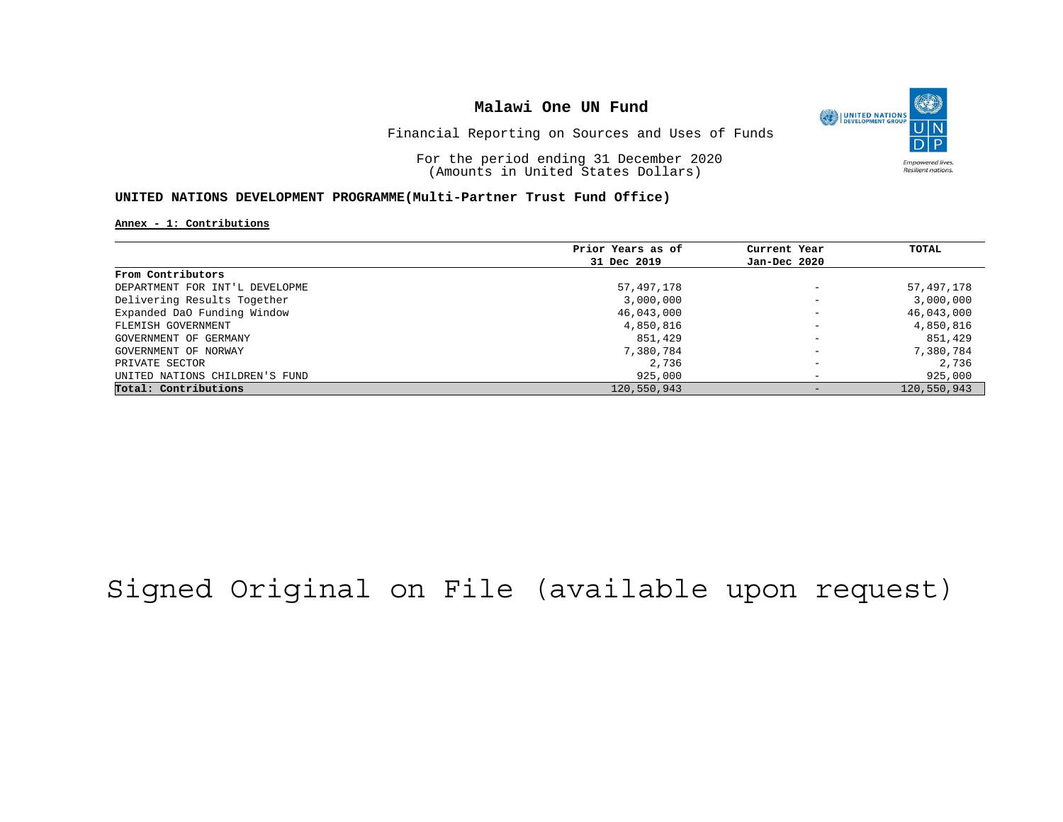

Financial Reporting on Sources and Uses of Funds

For the period ending 31 December 2020 (Amounts in United States Dollars)

### **UNITED NATIONS DEVELOPMENT PROGRAMME(Multi-Partner Trust Fund Office)**

**Annex - 1: Contributions**

|                                | Prior Years as of | Current Year             | TOTAL       |
|--------------------------------|-------------------|--------------------------|-------------|
|                                | 31 Dec 2019       | Jan-Dec 2020             |             |
| From Contributors              |                   |                          |             |
| DEPARTMENT FOR INT'L DEVELOPME | 57,497,178        | $\overline{\phantom{0}}$ | 57,497,178  |
| Delivering Results Together    | 3,000,000         | $\overline{\phantom{0}}$ | 3,000,000   |
| Expanded DaO Funding Window    | 46,043,000        | $\overline{\phantom{0}}$ | 46,043,000  |
| FLEMISH GOVERNMENT             | 4,850,816         | $\overline{\phantom{a}}$ | 4,850,816   |
| GOVERNMENT OF GERMANY          | 851,429           | $\overline{\phantom{a}}$ | 851,429     |
| GOVERNMENT OF NORWAY           | 7,380,784         | $\overline{\phantom{a}}$ | 7,380,784   |
| PRIVATE SECTOR                 | 2,736             | $\overline{\phantom{a}}$ | 2,736       |
| UNITED NATIONS CHILDREN'S FUND | 925,000           | $\overline{\phantom{0}}$ | 925,000     |
| Total: Contributions           | 120,550,943       | $\qquad \qquad -$        | 120,550,943 |

# Signed Original on File (available upon request)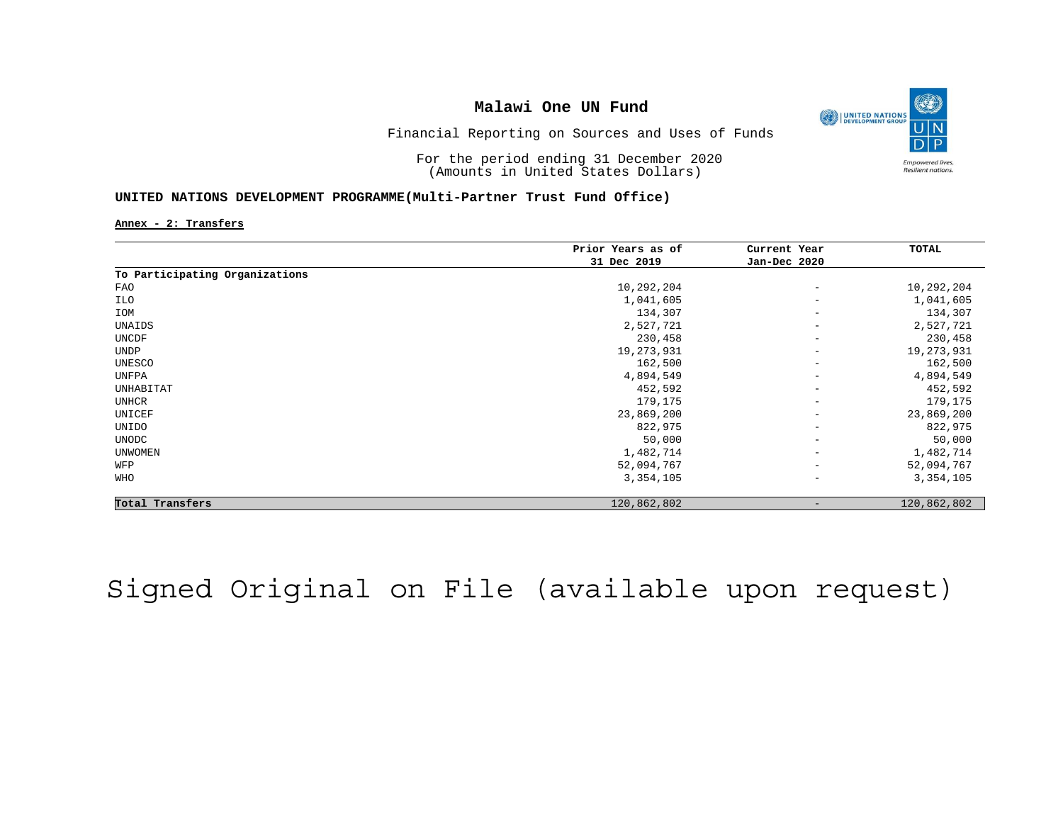

Financial Reporting on Sources and Uses of Funds

For the period ending 31 December 2020 (Amounts in United States Dollars)

### **UNITED NATIONS DEVELOPMENT PROGRAMME(Multi-Partner Trust Fund Office)**

**Annex - 2: Transfers**

|                                | Prior Years as of | Current Year             | TOTAL        |
|--------------------------------|-------------------|--------------------------|--------------|
|                                | 31 Dec 2019       | Jan-Dec 2020             |              |
| To Participating Organizations |                   |                          |              |
| FAO                            | 10,292,204        | $\qquad \qquad -$        | 10,292,204   |
| ILO                            | 1,041,605         | $\overline{\phantom{m}}$ | 1,041,605    |
| IOM                            | 134,307           | $\qquad \qquad -$        | 134,307      |
| UNAIDS                         | 2,527,721         | $\qquad \qquad -$        | 2,527,721    |
| UNCDF                          | 230,458           | $\qquad \qquad -$        | 230,458      |
| <b>UNDP</b>                    | 19,273,931        | $\qquad \qquad -$        | 19, 273, 931 |
| UNESCO                         | 162,500           | $\qquad \qquad -$        | 162,500      |
| UNFPA                          | 4,894,549         | $\overline{\phantom{m}}$ | 4,894,549    |
| UNHABITAT                      | 452,592           | $\overline{\phantom{0}}$ | 452,592      |
| UNHCR                          | 179,175           | $\qquad \qquad -$        | 179,175      |
| UNICEF                         | 23,869,200        | $\overline{\phantom{m}}$ | 23,869,200   |
| UNIDO                          | 822,975           | $\overline{\phantom{m}}$ | 822,975      |
| <b>UNODC</b>                   | 50,000            | $\qquad \qquad -$        | 50,000       |
| <b>UNWOMEN</b>                 | 1,482,714         | $\overline{\phantom{m}}$ | 1,482,714    |
| WFP                            | 52,094,767        | $\qquad \qquad -$        | 52,094,767   |
| WHO                            | 3,354,105         | $\qquad \qquad -$        | 3,354,105    |
| Total Transfers                | 120,862,802       |                          | 120,862,802  |

# Signed Original on File (available upon request)